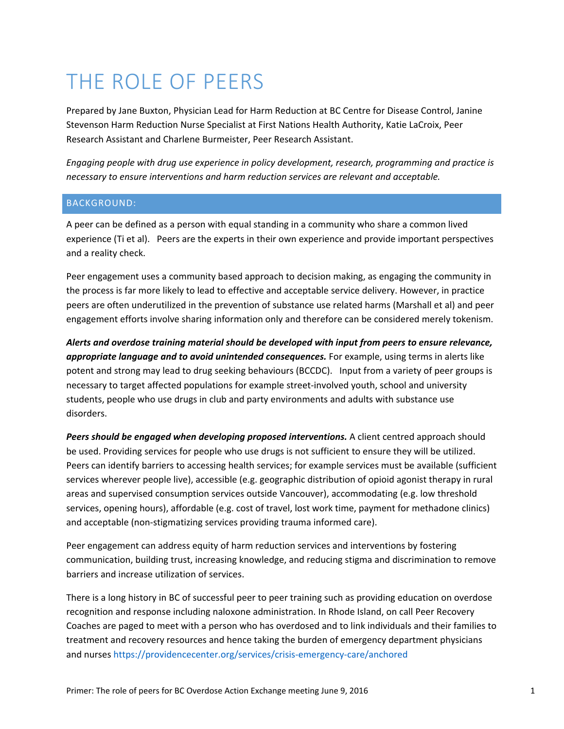# THE ROLE OF PEERS

Prepared by Jane Buxton, Physician Lead for Harm Reduction at BC Centre for Disease Control, Janine Stevenson Harm Reduction Nurse Specialist at First Nations Health Authority, Katie LaCroix, Peer Research Assistant and Charlene Burmeister, Peer Research Assistant.

*Engaging people with drug use experience in policy development, research, programming and practice is necessary to ensure interventions and harm reduction services are relevant and acceptable.* 

## BACKGROUND:

A peer can be defined as a person with equal standing in a community who share a common lived experience (Ti et al). Peers are the experts in their own experience and provide important perspectives and a reality check.

Peer engagement uses a community based approach to decision making, as engaging the community in the process is far more likely to lead to effective and acceptable service delivery. However, in practice peers are often underutilized in the prevention of substance use related harms (Marshall et al) and peer engagement efforts involve sharing information only and therefore can be considered merely tokenism.

*Alerts and overdose training material should be developed with input from peers to ensure relevance, appropriate language and to avoid unintended consequences.* For example, using terms in alerts like potent and strong may lead to drug seeking behaviours (BCCDC). Input from a variety of peer groups is necessary to target affected populations for example street‐involved youth, school and university students, people who use drugs in club and party environments and adults with substance use disorders.

*Peers should be engaged when developing proposed interventions.* A client centred approach should be used. Providing services for people who use drugs is not sufficient to ensure they will be utilized. Peers can identify barriers to accessing health services; for example services must be available (sufficient services wherever people live), accessible (e.g. geographic distribution of opioid agonist therapy in rural areas and supervised consumption services outside Vancouver), accommodating (e.g. low threshold services, opening hours), affordable (e.g. cost of travel, lost work time, payment for methadone clinics) and acceptable (non‐stigmatizing services providing trauma informed care).

Peer engagement can address equity of harm reduction services and interventions by fostering communication, building trust, increasing knowledge, and reducing stigma and discrimination to remove barriers and increase utilization of services.

There is a long history in BC of successful peer to peer training such as providing education on overdose recognition and response including naloxone administration. In Rhode Island, on call Peer Recovery Coaches are paged to meet with a person who has overdosed and to link individuals and their families to treatment and recovery resources and hence taking the burden of emergency department physicians and nurses https://providencecenter.org/services/crisis-emergency-care/anchored